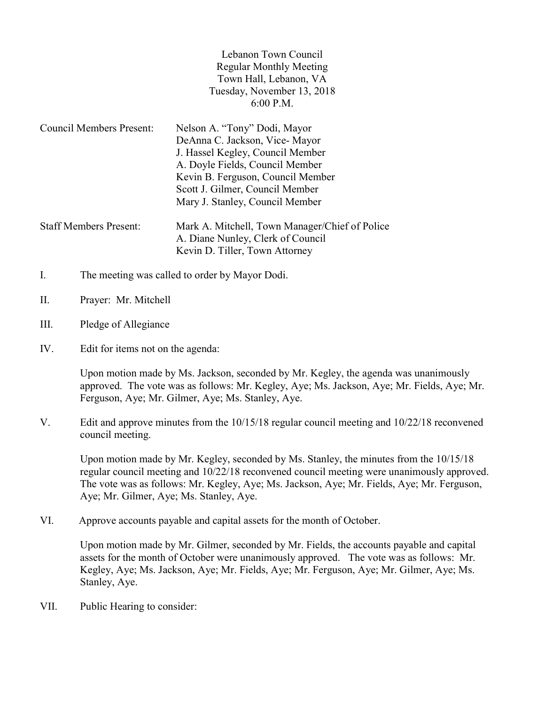| Lebanon Town Council           |
|--------------------------------|
| <b>Regular Monthly Meeting</b> |
| Town Hall, Lebanon, VA         |
| Tuesday, November 13, 2018     |
| $6:00$ P.M.                    |

Kevin D. Tiller, Town Attorney

- Council Members Present: Nelson A. "Tony" Dodi, Mayor DeAnna C. Jackson, Vice- Mayor J. Hassel Kegley, Council Member A. Doyle Fields, Council Member Kevin B. Ferguson, Council Member Scott J. Gilmer, Council Member Mary J. Stanley, Council Member Staff Members Present: Mark A. Mitchell, Town Manager/Chief of Police A. Diane Nunley, Clerk of Council
- I. The meeting was called to order by Mayor Dodi.
- II. Prayer: Mr. Mitchell
- III. Pledge of Allegiance
- IV. Edit for items not on the agenda:

Upon motion made by Ms. Jackson, seconded by Mr. Kegley, the agenda was unanimously approved. The vote was as follows: Mr. Kegley, Aye; Ms. Jackson, Aye; Mr. Fields, Aye; Mr. Ferguson, Aye; Mr. Gilmer, Aye; Ms. Stanley, Aye.

V. Edit and approve minutes from the 10/15/18 regular council meeting and 10/22/18 reconvened council meeting.

 Upon motion made by Mr. Kegley, seconded by Ms. Stanley, the minutes from the 10/15/18 regular council meeting and 10/22/18 reconvened council meeting were unanimously approved. The vote was as follows: Mr. Kegley, Aye; Ms. Jackson, Aye; Mr. Fields, Aye; Mr. Ferguson, Aye; Mr. Gilmer, Aye; Ms. Stanley, Aye.

VI. Approve accounts payable and capital assets for the month of October.

Upon motion made by Mr. Gilmer, seconded by Mr. Fields, the accounts payable and capital assets for the month of October were unanimously approved. The vote was as follows: Mr. Kegley, Aye; Ms. Jackson, Aye; Mr. Fields, Aye; Mr. Ferguson, Aye; Mr. Gilmer, Aye; Ms. Stanley, Aye.

VII. Public Hearing to consider: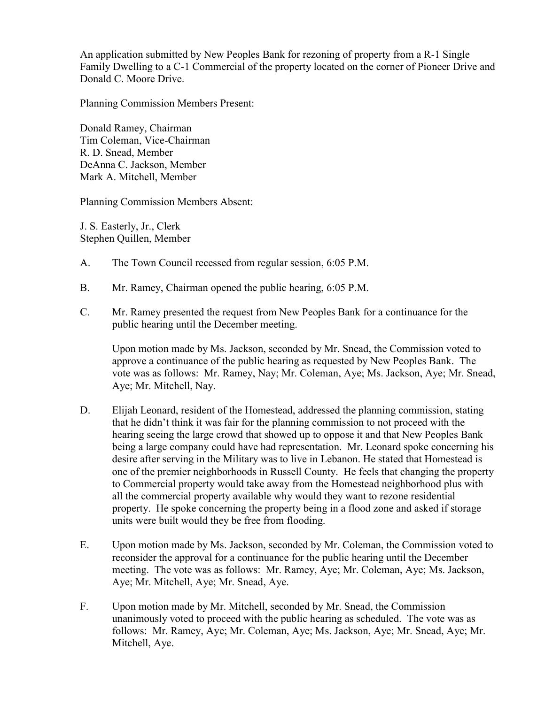An application submitted by New Peoples Bank for rezoning of property from a R-1 Single Family Dwelling to a C-1 Commercial of the property located on the corner of Pioneer Drive and Donald C. Moore Drive.

Planning Commission Members Present:

Donald Ramey, Chairman Tim Coleman, Vice-Chairman R. D. Snead, Member DeAnna C. Jackson, Member Mark A. Mitchell, Member

Planning Commission Members Absent:

J. S. Easterly, Jr., Clerk Stephen Quillen, Member

- A. The Town Council recessed from regular session, 6:05 P.M.
- B. Mr. Ramey, Chairman opened the public hearing, 6:05 P.M.
- C. Mr. Ramey presented the request from New Peoples Bank for a continuance for the public hearing until the December meeting.

Upon motion made by Ms. Jackson, seconded by Mr. Snead, the Commission voted to approve a continuance of the public hearing as requested by New Peoples Bank. The vote was as follows: Mr. Ramey, Nay; Mr. Coleman, Aye; Ms. Jackson, Aye; Mr. Snead, Aye; Mr. Mitchell, Nay.

- D. Elijah Leonard, resident of the Homestead, addressed the planning commission, stating that he didn't think it was fair for the planning commission to not proceed with the hearing seeing the large crowd that showed up to oppose it and that New Peoples Bank being a large company could have had representation. Mr. Leonard spoke concerning his desire after serving in the Military was to live in Lebanon. He stated that Homestead is one of the premier neighborhoods in Russell County. He feels that changing the property to Commercial property would take away from the Homestead neighborhood plus with all the commercial property available why would they want to rezone residential property. He spoke concerning the property being in a flood zone and asked if storage units were built would they be free from flooding.
- E. Upon motion made by Ms. Jackson, seconded by Mr. Coleman, the Commission voted to reconsider the approval for a continuance for the public hearing until the December meeting. The vote was as follows: Mr. Ramey, Aye; Mr. Coleman, Aye; Ms. Jackson, Aye; Mr. Mitchell, Aye; Mr. Snead, Aye.
- F. Upon motion made by Mr. Mitchell, seconded by Mr. Snead, the Commission unanimously voted to proceed with the public hearing as scheduled. The vote was as follows: Mr. Ramey, Aye; Mr. Coleman, Aye; Ms. Jackson, Aye; Mr. Snead, Aye; Mr. Mitchell, Aye.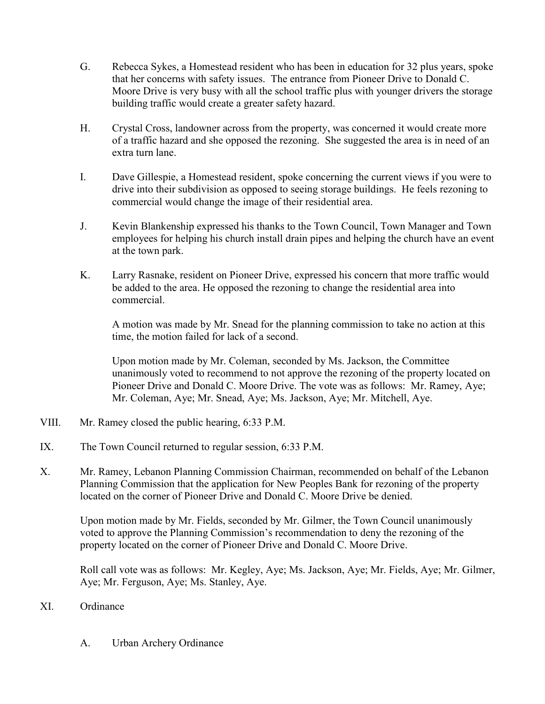- G. Rebecca Sykes, a Homestead resident who has been in education for 32 plus years, spoke that her concerns with safety issues. The entrance from Pioneer Drive to Donald C. Moore Drive is very busy with all the school traffic plus with younger drivers the storage building traffic would create a greater safety hazard.
- H. Crystal Cross, landowner across from the property, was concerned it would create more of a traffic hazard and she opposed the rezoning. She suggested the area is in need of an extra turn lane.
- I. Dave Gillespie, a Homestead resident, spoke concerning the current views if you were to drive into their subdivision as opposed to seeing storage buildings. He feels rezoning to commercial would change the image of their residential area.
- J. Kevin Blankenship expressed his thanks to the Town Council, Town Manager and Town employees for helping his church install drain pipes and helping the church have an event at the town park.
- K. Larry Rasnake, resident on Pioneer Drive, expressed his concern that more traffic would be added to the area. He opposed the rezoning to change the residential area into commercial.

A motion was made by Mr. Snead for the planning commission to take no action at this time, the motion failed for lack of a second.

Upon motion made by Mr. Coleman, seconded by Ms. Jackson, the Committee unanimously voted to recommend to not approve the rezoning of the property located on Pioneer Drive and Donald C. Moore Drive. The vote was as follows: Mr. Ramey, Aye; Mr. Coleman, Aye; Mr. Snead, Aye; Ms. Jackson, Aye; Mr. Mitchell, Aye.

- VIII. Mr. Ramey closed the public hearing, 6:33 P.M.
- IX. The Town Council returned to regular session, 6:33 P.M.
- X. Mr. Ramey, Lebanon Planning Commission Chairman, recommended on behalf of the Lebanon Planning Commission that the application for New Peoples Bank for rezoning of the property located on the corner of Pioneer Drive and Donald C. Moore Drive be denied.

 Upon motion made by Mr. Fields, seconded by Mr. Gilmer, the Town Council unanimously voted to approve the Planning Commission's recommendation to deny the rezoning of the property located on the corner of Pioneer Drive and Donald C. Moore Drive.

Roll call vote was as follows: Mr. Kegley, Aye; Ms. Jackson, Aye; Mr. Fields, Aye; Mr. Gilmer, Aye; Mr. Ferguson, Aye; Ms. Stanley, Aye.

## XI. Ordinance

A. Urban Archery Ordinance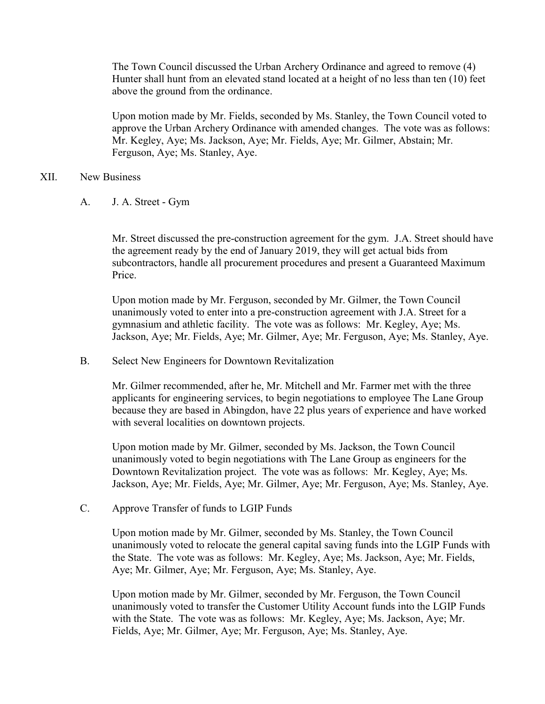The Town Council discussed the Urban Archery Ordinance and agreed to remove (4) Hunter shall hunt from an elevated stand located at a height of no less than ten (10) feet above the ground from the ordinance.

Upon motion made by Mr. Fields, seconded by Ms. Stanley, the Town Council voted to approve the Urban Archery Ordinance with amended changes. The vote was as follows: Mr. Kegley, Aye; Ms. Jackson, Aye; Mr. Fields, Aye; Mr. Gilmer, Abstain; Mr. Ferguson, Aye; Ms. Stanley, Aye.

## XII. New Business

A. J. A. Street - Gym

Mr. Street discussed the pre-construction agreement for the gym. J.A. Street should have the agreement ready by the end of January 2019, they will get actual bids from subcontractors, handle all procurement procedures and present a Guaranteed Maximum Price.

Upon motion made by Mr. Ferguson, seconded by Mr. Gilmer, the Town Council unanimously voted to enter into a pre-construction agreement with J.A. Street for a gymnasium and athletic facility. The vote was as follows: Mr. Kegley, Aye; Ms. Jackson, Aye; Mr. Fields, Aye; Mr. Gilmer, Aye; Mr. Ferguson, Aye; Ms. Stanley, Aye.

B. Select New Engineers for Downtown Revitalization

 Mr. Gilmer recommended, after he, Mr. Mitchell and Mr. Farmer met with the three applicants for engineering services, to begin negotiations to employee The Lane Group because they are based in Abingdon, have 22 plus years of experience and have worked with several localities on downtown projects.

 Upon motion made by Mr. Gilmer, seconded by Ms. Jackson, the Town Council unanimously voted to begin negotiations with The Lane Group as engineers for the Downtown Revitalization project. The vote was as follows: Mr. Kegley, Aye; Ms. Jackson, Aye; Mr. Fields, Aye; Mr. Gilmer, Aye; Mr. Ferguson, Aye; Ms. Stanley, Aye.

C. Approve Transfer of funds to LGIP Funds

 Upon motion made by Mr. Gilmer, seconded by Ms. Stanley, the Town Council unanimously voted to relocate the general capital saving funds into the LGIP Funds with the State. The vote was as follows: Mr. Kegley, Aye; Ms. Jackson, Aye; Mr. Fields, Aye; Mr. Gilmer, Aye; Mr. Ferguson, Aye; Ms. Stanley, Aye.

 Upon motion made by Mr. Gilmer, seconded by Mr. Ferguson, the Town Council unanimously voted to transfer the Customer Utility Account funds into the LGIP Funds with the State. The vote was as follows: Mr. Kegley, Aye; Ms. Jackson, Aye; Mr. Fields, Aye; Mr. Gilmer, Aye; Mr. Ferguson, Aye; Ms. Stanley, Aye.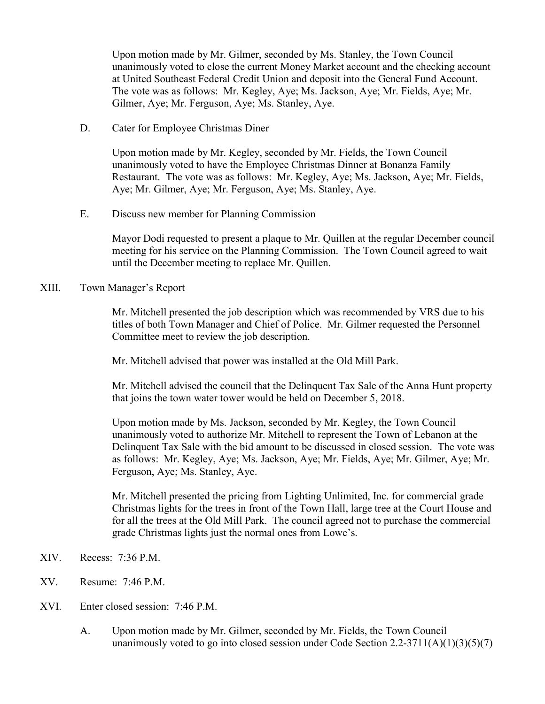Upon motion made by Mr. Gilmer, seconded by Ms. Stanley, the Town Council unanimously voted to close the current Money Market account and the checking account at United Southeast Federal Credit Union and deposit into the General Fund Account. The vote was as follows: Mr. Kegley, Aye; Ms. Jackson, Aye; Mr. Fields, Aye; Mr. Gilmer, Aye; Mr. Ferguson, Aye; Ms. Stanley, Aye.

D. Cater for Employee Christmas Diner

 Upon motion made by Mr. Kegley, seconded by Mr. Fields, the Town Council unanimously voted to have the Employee Christmas Dinner at Bonanza Family Restaurant. The vote was as follows: Mr. Kegley, Aye; Ms. Jackson, Aye; Mr. Fields, Aye; Mr. Gilmer, Aye; Mr. Ferguson, Aye; Ms. Stanley, Aye.

E. Discuss new member for Planning Commission

 Mayor Dodi requested to present a plaque to Mr. Quillen at the regular December council meeting for his service on the Planning Commission. The Town Council agreed to wait until the December meeting to replace Mr. Quillen.

## XIII. Town Manager's Report

Mr. Mitchell presented the job description which was recommended by VRS due to his titles of both Town Manager and Chief of Police. Mr. Gilmer requested the Personnel Committee meet to review the job description.

Mr. Mitchell advised that power was installed at the Old Mill Park.

Mr. Mitchell advised the council that the Delinquent Tax Sale of the Anna Hunt property that joins the town water tower would be held on December 5, 2018.

Upon motion made by Ms. Jackson, seconded by Mr. Kegley, the Town Council unanimously voted to authorize Mr. Mitchell to represent the Town of Lebanon at the Delinquent Tax Sale with the bid amount to be discussed in closed session. The vote was as follows: Mr. Kegley, Aye; Ms. Jackson, Aye; Mr. Fields, Aye; Mr. Gilmer, Aye; Mr. Ferguson, Aye; Ms. Stanley, Aye.

Mr. Mitchell presented the pricing from Lighting Unlimited, Inc. for commercial grade Christmas lights for the trees in front of the Town Hall, large tree at the Court House and for all the trees at the Old Mill Park. The council agreed not to purchase the commercial grade Christmas lights just the normal ones from Lowe's.

- XIV. Recess: 7:36 P.M.
- XV. Resume: 7:46 P.M.
- XVI. Enter closed session: 7:46 P.M.
	- A. Upon motion made by Mr. Gilmer, seconded by Mr. Fields, the Town Council unanimously voted to go into closed session under Code Section  $2.2\n-3711(A)(1)(3)(5)(7)$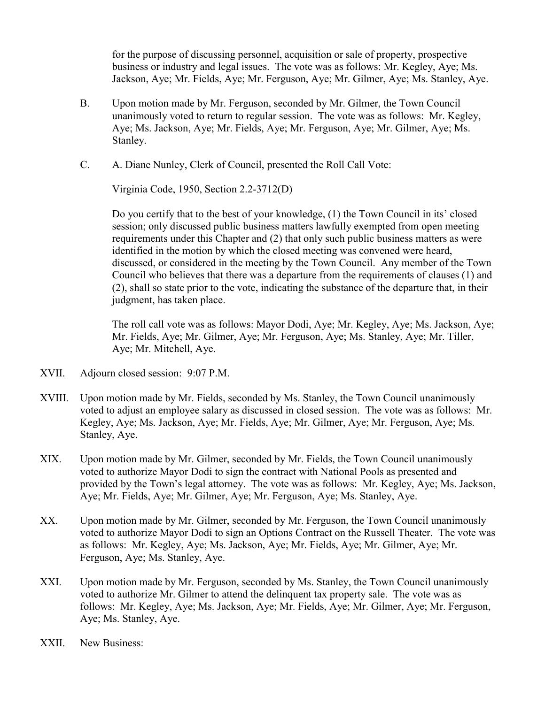for the purpose of discussing personnel, acquisition or sale of property, prospective business or industry and legal issues. The vote was as follows: Mr. Kegley, Aye; Ms. Jackson, Aye; Mr. Fields, Aye; Mr. Ferguson, Aye; Mr. Gilmer, Aye; Ms. Stanley, Aye.

- B. Upon motion made by Mr. Ferguson, seconded by Mr. Gilmer, the Town Council unanimously voted to return to regular session. The vote was as follows: Mr. Kegley, Aye; Ms. Jackson, Aye; Mr. Fields, Aye; Mr. Ferguson, Aye; Mr. Gilmer, Aye; Ms. Stanley.
- C. A. Diane Nunley, Clerk of Council, presented the Roll Call Vote:

Virginia Code, 1950, Section 2.2-3712(D)

 Do you certify that to the best of your knowledge, (1) the Town Council in its' closed session; only discussed public business matters lawfully exempted from open meeting requirements under this Chapter and (2) that only such public business matters as were identified in the motion by which the closed meeting was convened were heard, discussed, or considered in the meeting by the Town Council. Any member of the Town Council who believes that there was a departure from the requirements of clauses (1) and (2), shall so state prior to the vote, indicating the substance of the departure that, in their judgment, has taken place.

 The roll call vote was as follows: Mayor Dodi, Aye; Mr. Kegley, Aye; Ms. Jackson, Aye; Mr. Fields, Aye; Mr. Gilmer, Aye; Mr. Ferguson, Aye; Ms. Stanley, Aye; Mr. Tiller, Aye; Mr. Mitchell, Aye.

- XVII. Adjourn closed session: 9:07 P.M.
- XVIII. Upon motion made by Mr. Fields, seconded by Ms. Stanley, the Town Council unanimously voted to adjust an employee salary as discussed in closed session. The vote was as follows: Mr. Kegley, Aye; Ms. Jackson, Aye; Mr. Fields, Aye; Mr. Gilmer, Aye; Mr. Ferguson, Aye; Ms. Stanley, Aye.
- XIX. Upon motion made by Mr. Gilmer, seconded by Mr. Fields, the Town Council unanimously voted to authorize Mayor Dodi to sign the contract with National Pools as presented and provided by the Town's legal attorney. The vote was as follows: Mr. Kegley, Aye; Ms. Jackson, Aye; Mr. Fields, Aye; Mr. Gilmer, Aye; Mr. Ferguson, Aye; Ms. Stanley, Aye.
- XX. Upon motion made by Mr. Gilmer, seconded by Mr. Ferguson, the Town Council unanimously voted to authorize Mayor Dodi to sign an Options Contract on the Russell Theater. The vote was as follows: Mr. Kegley, Aye; Ms. Jackson, Aye; Mr. Fields, Aye; Mr. Gilmer, Aye; Mr. Ferguson, Aye; Ms. Stanley, Aye.
- XXI. Upon motion made by Mr. Ferguson, seconded by Ms. Stanley, the Town Council unanimously voted to authorize Mr. Gilmer to attend the delinquent tax property sale. The vote was as follows: Mr. Kegley, Aye; Ms. Jackson, Aye; Mr. Fields, Aye; Mr. Gilmer, Aye; Mr. Ferguson, Aye; Ms. Stanley, Aye.
- XXII. New Business: